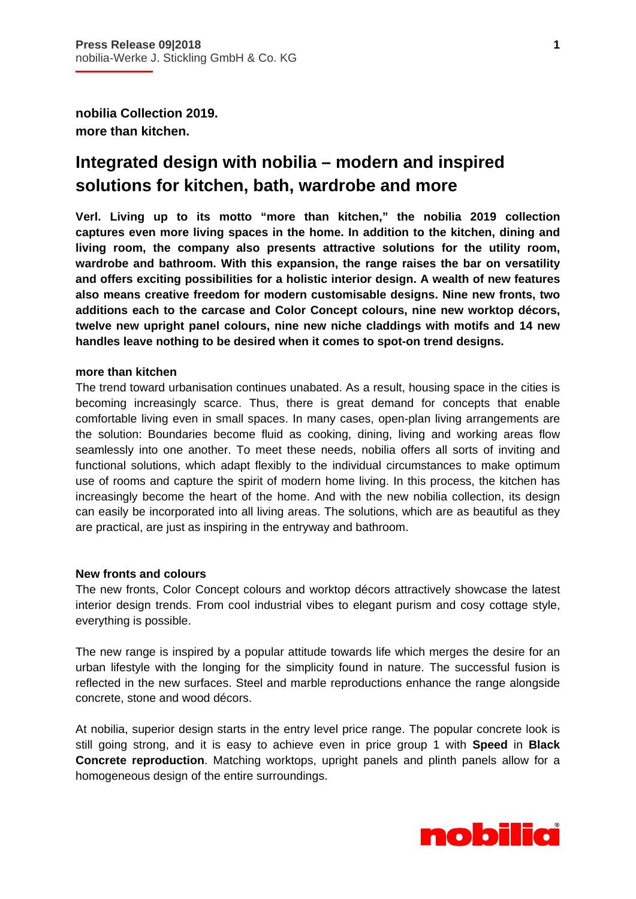**nobilia Collection 2019. more than kitchen.** 

# **Integrated design with nobilia – modern and inspired solutions for kitchen, bath, wardrobe and more**

**Verl. Living up to its motto "more than kitchen," the nobilia 2019 collection captures even more living spaces in the home. In addition to the kitchen, dining and living room, the company also presents attractive solutions for the utility room, wardrobe and bathroom. With this expansion, the range raises the bar on versatility and offers exciting possibilities for a holistic interior design. A wealth of new features also means creative freedom for modern customisable designs. Nine new fronts, two additions each to the carcase and Color Concept colours, nine new worktop décors, twelve new upright panel colours, nine new niche claddings with motifs and 14 new handles leave nothing to be desired when it comes to spot-on trend designs.** 

#### **more than kitchen**

The trend toward urbanisation continues unabated. As a result, housing space in the cities is becoming increasingly scarce. Thus, there is great demand for concepts that enable comfortable living even in small spaces. In many cases, open-plan living arrangements are the solution: Boundaries become fluid as cooking, dining, living and working areas flow seamlessly into one another. To meet these needs, nobilia offers all sorts of inviting and functional solutions, which adapt flexibly to the individual circumstances to make optimum use of rooms and capture the spirit of modern home living. In this process, the kitchen has increasingly become the heart of the home. And with the new nobilia collection, its design can easily be incorporated into all living areas. The solutions, which are as beautiful as they are practical, are just as inspiring in the entryway and bathroom.

# **New fronts and colours**

The new fronts, Color Concept colours and worktop décors attractively showcase the latest interior design trends. From cool industrial vibes to elegant purism and cosy cottage style, everything is possible.

The new range is inspired by a popular attitude towards life which merges the desire for an urban lifestyle with the longing for the simplicity found in nature. The successful fusion is reflected in the new surfaces. Steel and marble reproductions enhance the range alongside concrete, stone and wood décors.

At nobilia, superior design starts in the entry level price range. The popular concrete look is still going strong, and it is easy to achieve even in price group 1 with **Speed** in **Black Concrete reproduction**. Matching worktops, upright panels and plinth panels allow for a homogeneous design of the entire surroundings.

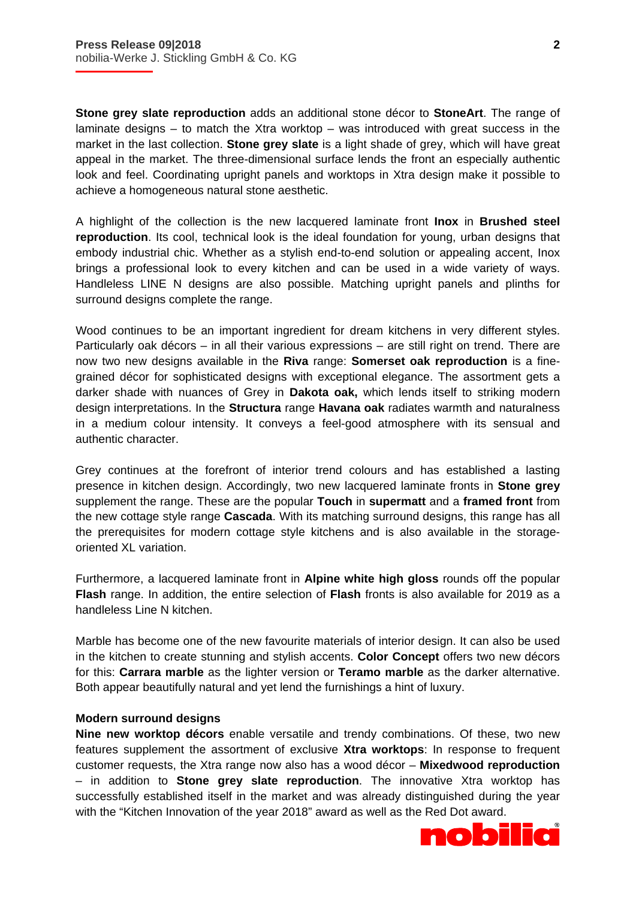**Stone grey slate reproduction** adds an additional stone décor to **StoneArt**. The range of laminate designs – to match the Xtra worktop – was introduced with great success in the market in the last collection. **Stone grey slate** is a light shade of grey, which will have great appeal in the market. The three-dimensional surface lends the front an especially authentic look and feel. Coordinating upright panels and worktops in Xtra design make it possible to achieve a homogeneous natural stone aesthetic.

A highlight of the collection is the new lacquered laminate front **Inox** in **Brushed steel reproduction**. Its cool, technical look is the ideal foundation for young, urban designs that embody industrial chic. Whether as a stylish end-to-end solution or appealing accent, Inox brings a professional look to every kitchen and can be used in a wide variety of ways. Handleless LINE N designs are also possible. Matching upright panels and plinths for surround designs complete the range.

Wood continues to be an important ingredient for dream kitchens in very different styles. Particularly oak décors – in all their various expressions – are still right on trend. There are now two new designs available in the **Riva** range: **Somerset oak reproduction** is a finegrained décor for sophisticated designs with exceptional elegance. The assortment gets a darker shade with nuances of Grey in **Dakota oak,** which lends itself to striking modern design interpretations. In the **Structura** range **Havana oak** radiates warmth and naturalness in a medium colour intensity. It conveys a feel-good atmosphere with its sensual and authentic character.

Grey continues at the forefront of interior trend colours and has established a lasting presence in kitchen design. Accordingly, two new lacquered laminate fronts in **Stone grey** supplement the range. These are the popular **Touch** in **supermatt** and a **framed front** from the new cottage style range **Cascada**. With its matching surround designs, this range has all the prerequisites for modern cottage style kitchens and is also available in the storageoriented XL variation.

Furthermore, a lacquered laminate front in **Alpine white high gloss** rounds off the popular **Flash** range. In addition, the entire selection of **Flash** fronts is also available for 2019 as a handleless Line N kitchen.

Marble has become one of the new favourite materials of interior design. It can also be used in the kitchen to create stunning and stylish accents. **Color Concept** offers two new décors for this: **Carrara marble** as the lighter version or **Teramo marble** as the darker alternative. Both appear beautifully natural and yet lend the furnishings a hint of luxury.

# **Modern surround designs**

**Nine new worktop décors** enable versatile and trendy combinations. Of these, two new features supplement the assortment of exclusive **Xtra worktops**: In response to frequent customer requests, the Xtra range now also has a wood décor – **Mixedwood reproduction** – in addition to **Stone grey slate reproduction**. The innovative Xtra worktop has successfully established itself in the market and was already distinguished during the year with the "Kitchen Innovation of the year 2018" award as well as the Red Dot award.

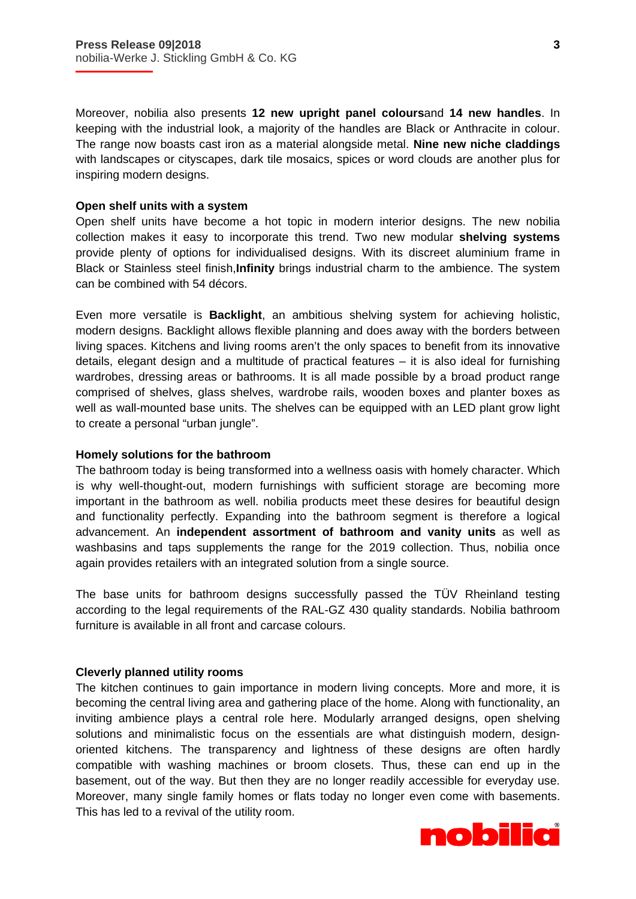Moreover, nobilia also presents **12 new upright panel colours**and **14 new handles**. In keeping with the industrial look, a majority of the handles are Black or Anthracite in colour. The range now boasts cast iron as a material alongside metal. **Nine new niche claddings** with landscapes or cityscapes, dark tile mosaics, spices or word clouds are another plus for inspiring modern designs.

# **Open shelf units with a system**

Open shelf units have become a hot topic in modern interior designs. The new nobilia collection makes it easy to incorporate this trend. Two new modular **shelving systems** provide plenty of options for individualised designs. With its discreet aluminium frame in Black or Stainless steel finish,**Infinity** brings industrial charm to the ambience. The system can be combined with 54 décors.

Even more versatile is **Backlight**, an ambitious shelving system for achieving holistic, modern designs. Backlight allows flexible planning and does away with the borders between living spaces. Kitchens and living rooms aren't the only spaces to benefit from its innovative details, elegant design and a multitude of practical features – it is also ideal for furnishing wardrobes, dressing areas or bathrooms. It is all made possible by a broad product range comprised of shelves, glass shelves, wardrobe rails, wooden boxes and planter boxes as well as wall-mounted base units. The shelves can be equipped with an LED plant grow light to create a personal "urban jungle".

#### **Homely solutions for the bathroom**

The bathroom today is being transformed into a wellness oasis with homely character. Which is why well-thought-out, modern furnishings with sufficient storage are becoming more important in the bathroom as well. nobilia products meet these desires for beautiful design and functionality perfectly. Expanding into the bathroom segment is therefore a logical advancement. An **independent assortment of bathroom and vanity units** as well as washbasins and taps supplements the range for the 2019 collection. Thus, nobilia once again provides retailers with an integrated solution from a single source.

The base units for bathroom designs successfully passed the TÜV Rheinland testing according to the legal requirements of the RAL-GZ 430 quality standards. Nobilia bathroom furniture is available in all front and carcase colours.

#### **Cleverly planned utility rooms**

The kitchen continues to gain importance in modern living concepts. More and more, it is becoming the central living area and gathering place of the home. Along with functionality, an inviting ambience plays a central role here. Modularly arranged designs, open shelving solutions and minimalistic focus on the essentials are what distinguish modern, designoriented kitchens. The transparency and lightness of these designs are often hardly compatible with washing machines or broom closets. Thus, these can end up in the basement, out of the way. But then they are no longer readily accessible for everyday use. Moreover, many single family homes or flats today no longer even come with basements. This has led to a revival of the utility room.